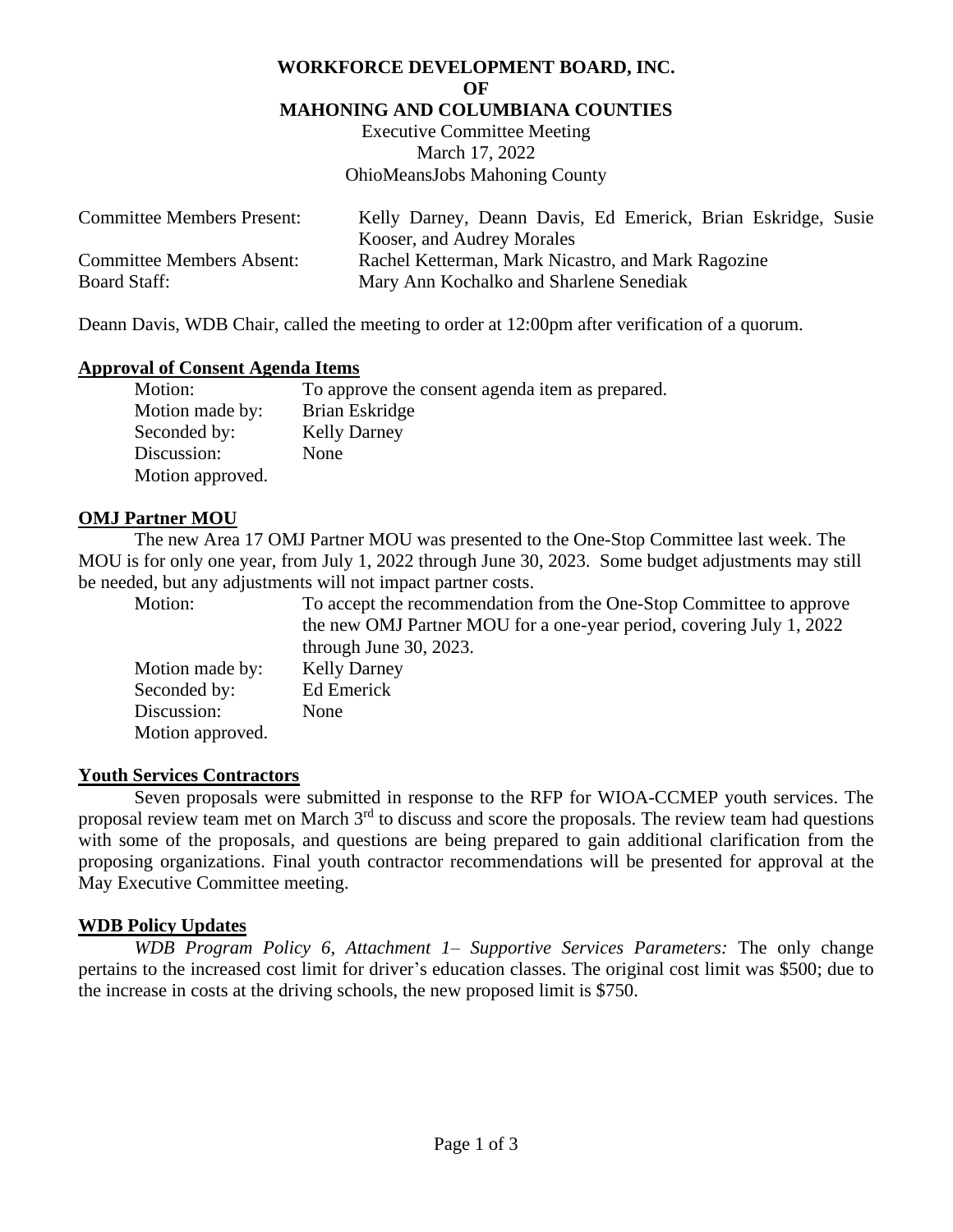#### **WORKFORCE DEVELOPMENT BOARD, INC.**

**OF**

#### **MAHONING AND COLUMBIANA COUNTIES**

Executive Committee Meeting March 17, 2022 OhioMeansJobs Mahoning County

| <b>Committee Members Present:</b> | Kelly Darney, Deann Davis, Ed Emerick, Brian Eskridge, Susie |
|-----------------------------------|--------------------------------------------------------------|
|                                   | Kooser, and Audrey Morales                                   |
| <b>Committee Members Absent:</b>  | Rachel Ketterman, Mark Nicastro, and Mark Ragozine           |
| <b>Board Staff:</b>               | Mary Ann Kochalko and Sharlene Senediak                      |

Deann Davis, WDB Chair, called the meeting to order at 12:00pm after verification of a quorum.

#### **Approval of Consent Agenda Items**

| Motion:          | To approve the consent agenda item as prepared. |
|------------------|-------------------------------------------------|
| Motion made by:  | Brian Eskridge                                  |
| Seconded by:     | <b>Kelly Darney</b>                             |
| Discussion:      | None                                            |
| Motion approved. |                                                 |

### **OMJ Partner MOU**

The new Area 17 OMJ Partner MOU was presented to the One-Stop Committee last week. The MOU is for only one year, from July 1, 2022 through June 30, 2023. Some budget adjustments may still be needed, but any adjustments will not impact partner costs.

| Motion:          | To accept the recommendation from the One-Stop Committee to approve  |
|------------------|----------------------------------------------------------------------|
|                  | the new OMJ Partner MOU for a one-year period, covering July 1, 2022 |
|                  | through June 30, 2023.                                               |
| Motion made by:  | <b>Kelly Darney</b>                                                  |
| Seconded by:     | Ed Emerick                                                           |
| Discussion:      | None                                                                 |
| Motion approved. |                                                                      |

#### **Youth Services Contractors**

Seven proposals were submitted in response to the RFP for WIOA-CCMEP youth services. The proposal review team met on March  $3<sup>rd</sup>$  to discuss and score the proposals. The review team had questions with some of the proposals, and questions are being prepared to gain additional clarification from the proposing organizations. Final youth contractor recommendations will be presented for approval at the May Executive Committee meeting.

## **WDB Policy Updates**

*WDB Program Policy 6, Attachment 1– Supportive Services Parameters:* The only change pertains to the increased cost limit for driver's education classes. The original cost limit was \$500; due to the increase in costs at the driving schools, the new proposed limit is \$750.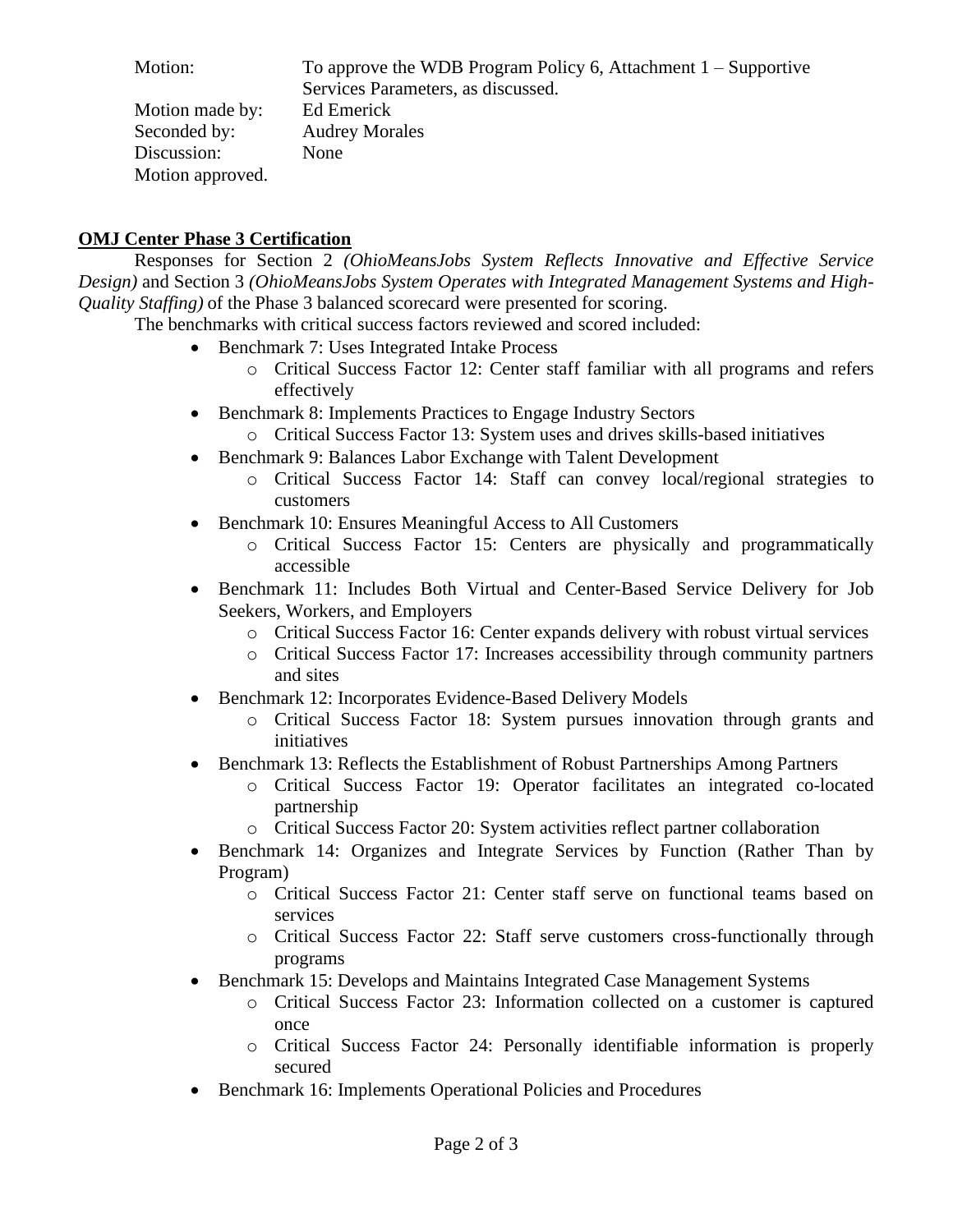Motion: To approve the WDB Program Policy 6, Attachment 1 – Supportive Services Parameters, as discussed. Motion made by: Ed Emerick Seconded by: Audrey Morales Discussion: None Motion approved.

# **OMJ Center Phase 3 Certification**

Responses for Section 2 *(OhioMeansJobs System Reflects Innovative and Effective Service Design)* and Section 3 *(OhioMeansJobs System Operates with Integrated Management Systems and High-Quality Staffing)* of the Phase 3 balanced scorecard were presented for scoring.

The benchmarks with critical success factors reviewed and scored included:

- Benchmark 7: Uses Integrated Intake Process
	- o Critical Success Factor 12: Center staff familiar with all programs and refers effectively
- Benchmark 8: Implements Practices to Engage Industry Sectors
	- o Critical Success Factor 13: System uses and drives skills-based initiatives
- Benchmark 9: Balances Labor Exchange with Talent Development
	- o Critical Success Factor 14: Staff can convey local/regional strategies to customers
- Benchmark 10: Ensures Meaningful Access to All Customers
	- o Critical Success Factor 15: Centers are physically and programmatically accessible
- Benchmark 11: Includes Both Virtual and Center-Based Service Delivery for Job Seekers, Workers, and Employers
	- o Critical Success Factor 16: Center expands delivery with robust virtual services
	- o Critical Success Factor 17: Increases accessibility through community partners and sites
- Benchmark 12: Incorporates Evidence-Based Delivery Models
	- o Critical Success Factor 18: System pursues innovation through grants and initiatives
- Benchmark 13: Reflects the Establishment of Robust Partnerships Among Partners
	- o Critical Success Factor 19: Operator facilitates an integrated co-located partnership
	- o Critical Success Factor 20: System activities reflect partner collaboration
- Benchmark 14: Organizes and Integrate Services by Function (Rather Than by Program)
	- o Critical Success Factor 21: Center staff serve on functional teams based on services
	- o Critical Success Factor 22: Staff serve customers cross-functionally through programs
- Benchmark 15: Develops and Maintains Integrated Case Management Systems
	- o Critical Success Factor 23: Information collected on a customer is captured once
	- o Critical Success Factor 24: Personally identifiable information is properly secured
- Benchmark 16: Implements Operational Policies and Procedures